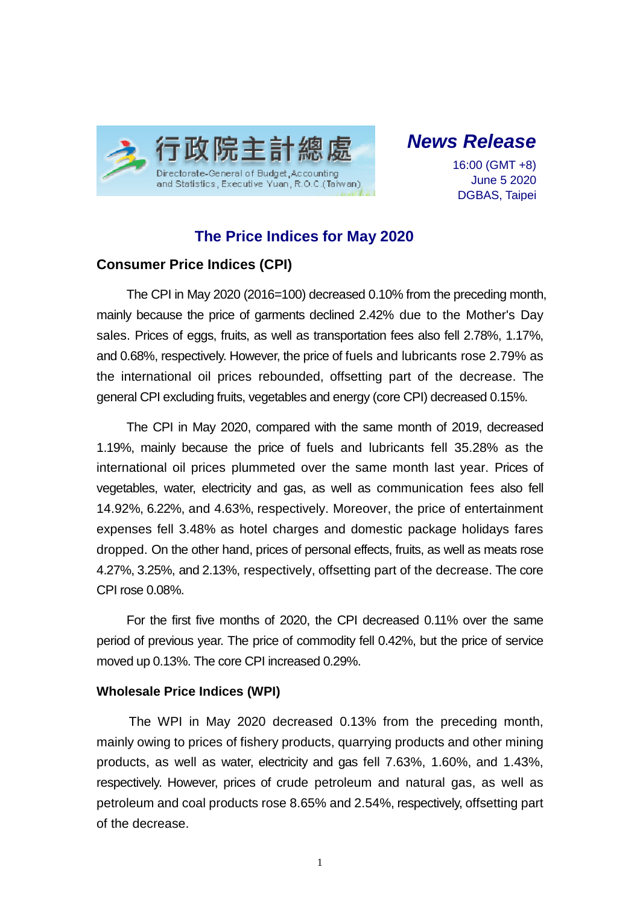

*News Release*

16:00 (GMT +8) June 5 2020 DGBAS, Taipei

# **The Price Indices for May 2020**

## **Consumer Price Indices (CPI)**

The CPI in May 2020 (2016=100) decreased 0.10% from the preceding month, mainly because the price of garments declined 2.42% due to the Mother's Day sales. Prices of eggs, fruits, as well as transportation fees also fell 2.78%, 1.17%, and 0.68%, respectively. However, the price of fuels and lubricants rose 2.79% as the international oil prices rebounded, offsetting part of the decrease. The general CPI excluding fruits, vegetables and energy (core CPI) decreased 0.15%.

The CPI in May 2020, compared with the same month of 2019, decreased 1.19%, mainly because the price of fuels and lubricants fell 35.28% as the international oil prices plummeted over the same month last year. Prices of vegetables, water, electricity and gas, as well as communication fees also fell 14.92%, 6.22%, and 4.63%, respectively. Moreover, the price of entertainment expenses fell 3.48% as hotel charges and domestic package holidays fares dropped. On the other hand, prices of personal effects, fruits, as well as meats rose 4.27%, 3.25%, and 2.13%, respectively, offsetting part of the decrease. The core CPI rose 0.08%.

For the first five months of 2020, the CPI decreased 0.11% over the same period of previous year. The price of commodity fell 0.42%, but the price of service moved up 0.13%. The core CPI increased 0.29%.

#### **Wholesale Price Indices (WPI)**

The WPI in May 2020 decreased 0.13% from the preceding month, mainly owing to prices of fishery products, quarrying products and other mining products, as well as water, electricity and gas fell 7.63%, 1.60%, and 1.43%, respectively. However, prices of crude petroleum and natural gas, as well as petroleum and coal products rose 8.65% and 2.54%, respectively, offsetting part of the decrease.